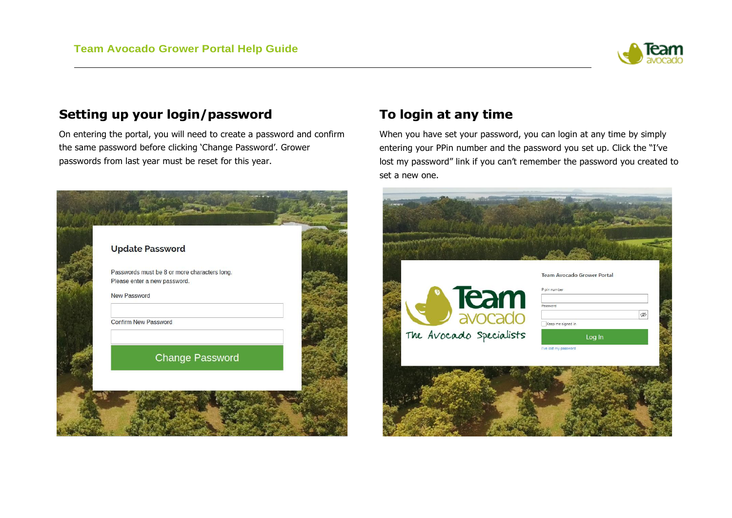

## **Setting up your login/password**

On entering the portal, you will need to create a password and confirm the same password before clicking 'Change Password'. Grower passwords from last year must be reset for this year.



## **To login at any time**

When you have set your password, you can login at any time by simply entering your PPin number and the password you set up. Click the "I've lost my password" link if you can't remember the password you created to set a new one.

|                         | <b>Team Avocado Grower Portal</b> |
|-------------------------|-----------------------------------|
|                         | P pin number                      |
| Succado                 | Password                          |
|                         | Ø<br>Keep me signed in            |
| The Avocado Specialists | Log In                            |
|                         | I've lost my password             |
|                         |                                   |
|                         |                                   |
|                         |                                   |
|                         |                                   |
|                         |                                   |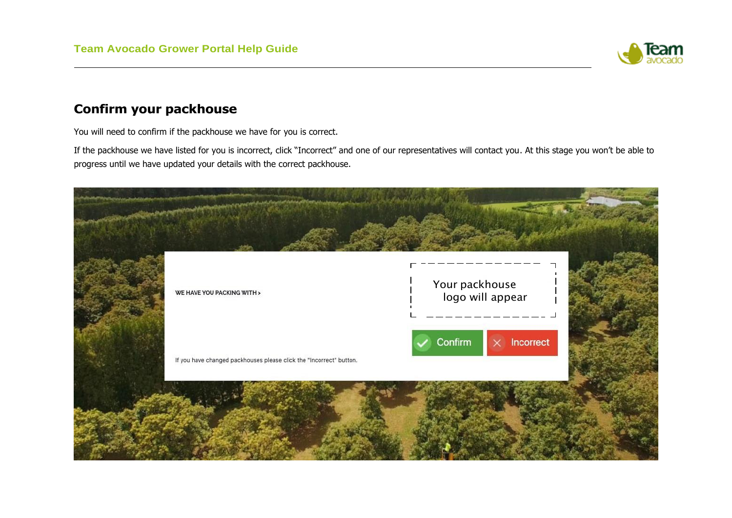

### **Confirm your packhouse**

You will need to confirm if the packhouse we have for you is correct.

If the packhouse we have listed for you is incorrect, click "Incorrect" and one of our representatives will contact you. At this stage you won't be able to progress until we have updated your details with the correct packhouse.

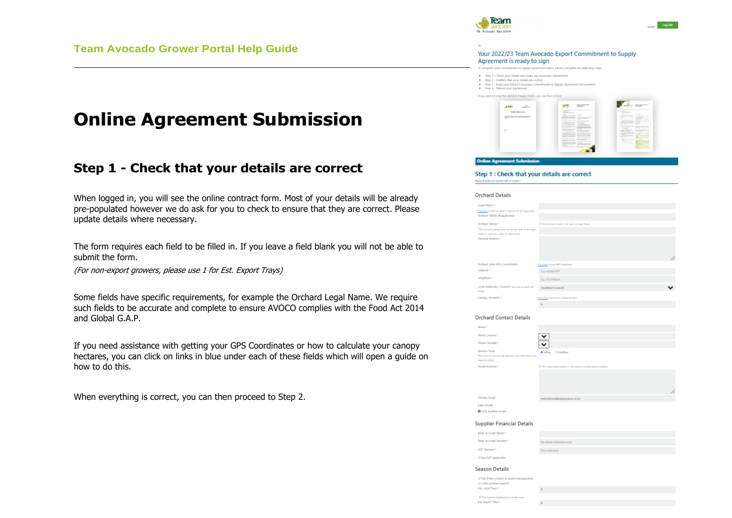# **Online Agreement Submission**

### **Step 1 - Check that your details are correct**

When logged in, you will see the online contract form. Most of your details will be already pre-populated however we do ask for you to check to ensure that they are correct. Please update details where necessary.

The form requires each field to be filled in. If you leave a field blank you will not be able to submit the form.

(For non-export growers, please use 1 for Est. Export Trays)

Some fields have specific requirements, for example the Orchard Legal Name. We require such fields to be accurate and complete to ensure AVOCO complies with the Food Act 2014 and Global G.A.P.

If you need assistance with getting your GPS Coordinates or how to calculate your canopy hectares, you can click on links in blue under each of these fields which will open a guide on how to do this.

When everything is correct, you can then proceed to Step 2.



Your 2022/23 Team Avocado Export Commitment to Supply Agreement is ready to sign

- To complete your commitment to supply acreement online, please complete the following re-
- Step 1 Check your details and make any necessary ad-
- Step 2 Confirm that your details are correct Step 3 - Read your 2022/23 Avecado Come



### Step 1 : Check that your details are correct

#### **Orchard Details**

| Legal Name *                                                                                    |                                                   |   |
|-------------------------------------------------------------------------------------------------|---------------------------------------------------|---|
| Clink have impleated about in required for the legal name.                                      |                                                   |   |
| Orchard NZ9N (if applicable)                                                                    |                                                   |   |
| Orchard Name *                                                                                  | [] Tell if seehard name is the same as Legal Name |   |
| The unitari inding name can be the same as the legal<br>name, or a person's name or other name. |                                                   |   |
| Physical Address *                                                                              |                                                   |   |
|                                                                                                 |                                                   | 4 |
| Orchard Gate GPS Coordinates                                                                    | Cirk have in Jind GPS Consultantes                |   |
| Latitude *                                                                                      | Eq -16.063497                                     |   |
| Longitude *                                                                                     | Eq 174.759644                                     |   |
| Local Authority / Council (Indigma rechard lab.<br>under)                                       | <b>Auckland Council</b>                           |   |
| Canopy Hectates *                                                                               | Cirk have in find your samply handares.           |   |
|                                                                                                 | a                                                 |   |

#### **Orchard Contact Details**

| ame *                                                                                           |                                                                         |    |
|-------------------------------------------------------------------------------------------------|-------------------------------------------------------------------------|----|
| (Mame (Hame                                                                                     | $\checkmark$                                                            |    |
| hane (Mabile) *                                                                                 | v                                                                       |    |
| <b>Acolus Texts</b><br>an dina in time as may send you leal notification (e.g.<br>Aristia lesen | <b>Digitaliow</b><br><b>M Allow</b>                                     |    |
| sital Address +                                                                                 | [7] Tell (Fyron produl address is the same as unitaral physical address |    |
|                                                                                                 |                                                                         |    |
|                                                                                                 |                                                                         |    |
|                                                                                                 |                                                                         | // |
| <b>Imary Email</b>                                                                              | renee@southemproduce.co.ra                                              |    |
| ma Emaile                                                                                       |                                                                         |    |
| <b>Add another email</b>                                                                        |                                                                         |    |
|                                                                                                 |                                                                         |    |

### **Supplier Financial Details**

| ink Account Name *      |                          |
|-------------------------|--------------------------|
| ink Account Number*     | TOT-ROODS-TEXPORTER-TOOL |
| <sup>4</sup> Yodmaid T2 | XXX-XXXX-XXX             |
| Not GST applicable      |                          |

#### **Season Details**

| El Tick if the orchard is under management<br>Elis this orchard leased? |  |
|-------------------------------------------------------------------------|--|
| Ert. Local Traye *                                                      |  |
| El To k if you're supplying local market andy                           |  |
| Est. Export Trays *                                                     |  |